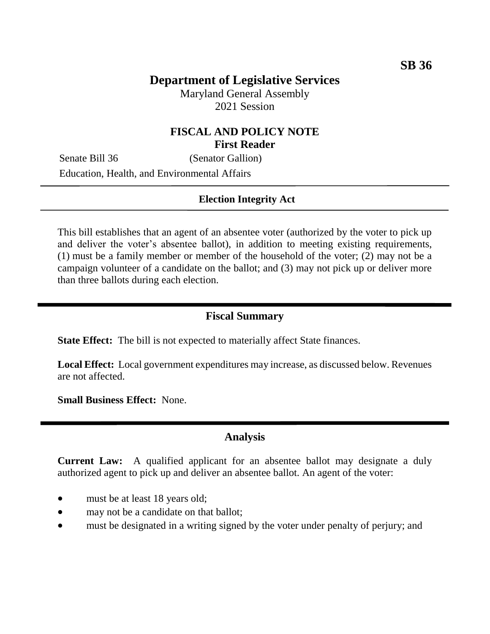# **Department of Legislative Services**

Maryland General Assembly 2021 Session

## **FISCAL AND POLICY NOTE First Reader**

Senate Bill 36 (Senator Gallion) Education, Health, and Environmental Affairs

#### **Election Integrity Act**

This bill establishes that an agent of an absentee voter (authorized by the voter to pick up and deliver the voter's absentee ballot), in addition to meeting existing requirements, (1) must be a family member or member of the household of the voter; (2) may not be a campaign volunteer of a candidate on the ballot; and (3) may not pick up or deliver more than three ballots during each election.

#### **Fiscal Summary**

**State Effect:** The bill is not expected to materially affect State finances.

**Local Effect:** Local government expenditures may increase, as discussed below. Revenues are not affected.

**Small Business Effect:** None.

### **Analysis**

**Current Law:** A qualified applicant for an absentee ballot may designate a duly authorized agent to pick up and deliver an absentee ballot. An agent of the voter:

- must be at least 18 years old;
- may not be a candidate on that ballot;
- must be designated in a writing signed by the voter under penalty of perjury; and